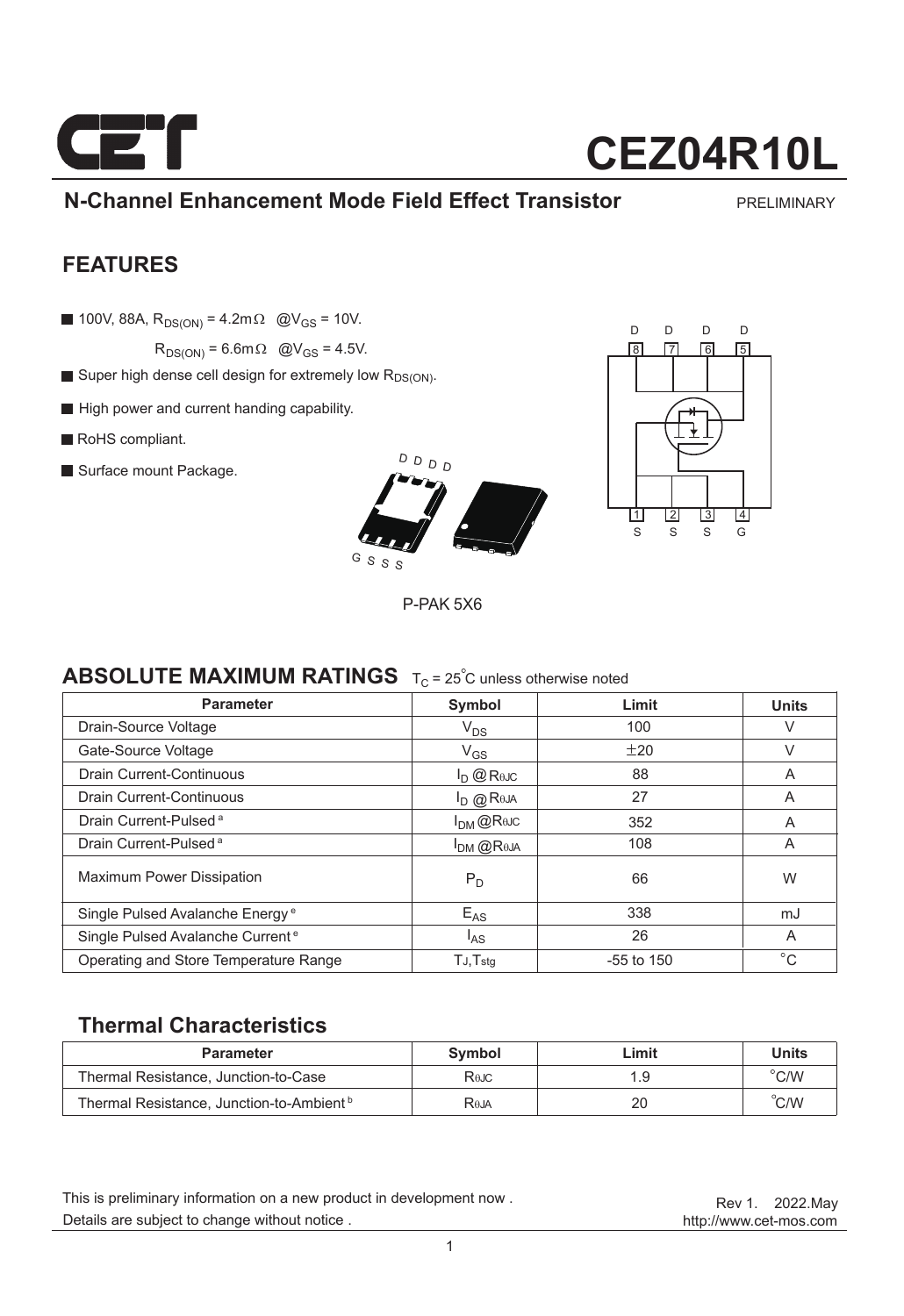

## **N-Channel Enhancement Mode Field Effect Transistor**

PRELIMINARY

### **FEATURES**

100V, 88A,  $R_{DS(ON)} = 4.2$ m $\Omega$  @V<sub>GS</sub> = 10V.

 $R_{DS(ON)} = 6.6$ m $\Omega$  @V<sub>GS</sub> = 4.5V.

- Super high dense cell design for extremely low R<sub>DS(ON)</sub>.
- High power and current handing capability.
- RoHS compliant.
- Surface mount Package.





P-PAK 5X6

### **ABSOLUTE MAXIMUM RATINGS**  $T_C = 25^\circ$ C unless otherwise noted

| <b>Parameter</b>                             | Symbol                                  | Limit        | <b>Units</b> |
|----------------------------------------------|-----------------------------------------|--------------|--------------|
| Drain-Source Voltage                         | $V_{DS}$                                | 100          | V            |
| Gate-Source Voltage                          | $V_{GS}$                                | ±20          | V            |
| <b>Drain Current-Continuous</b>              | $I_D$ $@$ R <sub><math>0</math>JC</sub> | 88           | A            |
| Drain Current-Continuous                     | $I_{\text{D}}$ @ Reja                   | 27           | A            |
| Drain Current-Pulsed <sup>a</sup>            | $I_{DM}$ @Rejc                          | 352          | A            |
| Drain Current-Pulsed <sup>a</sup>            | $I_{DM}$ $@$ Reja                       | 108          | A            |
| <b>Maximum Power Dissipation</b>             | $P_D$                                   | 66           | W            |
| Single Pulsed Avalanche Energy <sup>e</sup>  | $E_{AS}$                                | 338          | mJ           |
| Single Pulsed Avalanche Current <sup>e</sup> | l <sub>AS</sub>                         | 26           | A            |
| Operating and Store Temperature Range        | $TJ$ , $Tstq$                           | $-55$ to 150 | $^{\circ}C$  |

### **Thermal Characteristics**

| <b>Parameter</b>                                     | Symbol            | Limit | Units          |
|------------------------------------------------------|-------------------|-------|----------------|
| Thermal Resistance, Junction-to-Case                 | Rejc              | ∣.9   | $^{\circ}$ C/W |
| Thermal Resistance, Junction-to-Ambient <sup>b</sup> | R <sub>0</sub> JA | 20    | C/W            |

Details are subject to change without notice . This is preliminary information on a new product in development now .

http://www.cet-mos.com Rev 1. 2022.May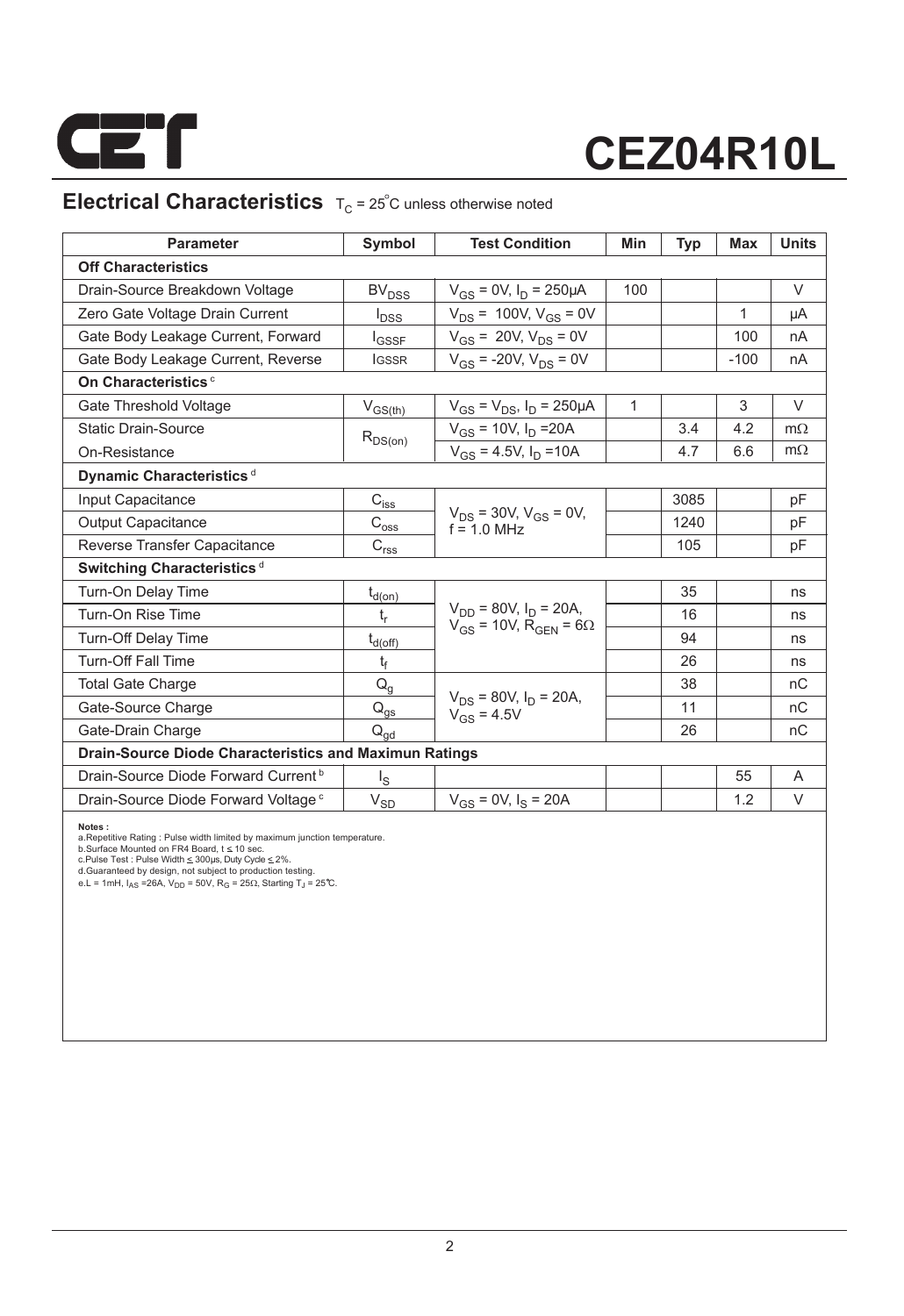

## **Electrical Characteristics**  $T_C = 25^\circ$ C unless otherwise noted

| <b>Parameter</b>                                              | Symbol                                 | <b>Test Condition</b>                                                         | Min          | <b>Typ</b> | Max    | <b>Units</b> |  |
|---------------------------------------------------------------|----------------------------------------|-------------------------------------------------------------------------------|--------------|------------|--------|--------------|--|
| <b>Off Characteristics</b>                                    |                                        |                                                                               |              |            |        |              |  |
| Drain-Source Breakdown Voltage                                | <b>BV<sub>DSS</sub></b>                | $V_{GS} = 0V$ , $I_D = 250 \mu A$                                             | 100          |            |        | V            |  |
| Zero Gate Voltage Drain Current                               | $I_{DSS}$                              | $V_{DS}$ = 100V, $V_{GS}$ = 0V                                                |              |            | 1      | μA           |  |
| Gate Body Leakage Current, Forward                            | $I_{GSSF}$                             | $V_{GS}$ = 20V, $V_{DS}$ = 0V                                                 |              |            | 100    | nA           |  |
| Gate Body Leakage Current, Reverse                            | <b>IGSSR</b>                           | $V_{GS}$ = -20V, $V_{DS}$ = 0V                                                |              |            | $-100$ | nA           |  |
| On Characteristics <sup>c</sup>                               |                                        |                                                                               |              |            |        |              |  |
| Gate Threshold Voltage                                        | $V_{GS(th)}$                           | $V_{GS} = V_{DS}$ , $I_D = 250 \mu A$                                         | $\mathbf{1}$ |            | 3      | $\vee$       |  |
| <b>Static Drain-Source</b>                                    | $R_{DS(on)}$                           | $V_{GS}$ = 10V, $I_D$ = 20A                                                   |              | 3.4        | 4.2    | $m\Omega$    |  |
| On-Resistance                                                 |                                        | $V_{GS}$ = 4.5V, $I_D$ = 10A                                                  |              | 4.7        | 6.6    | $m\Omega$    |  |
| Dynamic Characteristics <sup>d</sup>                          |                                        |                                                                               |              |            |        |              |  |
| Input Capacitance                                             | $C_{i \underline{s} \underline{s}}$    |                                                                               |              | 3085       |        | pF           |  |
| <b>Output Capacitance</b>                                     | $\mathrm{C_{oss}}$                     | $V_{DS}$ = 30V, $V_{GS}$ = 0V,<br>$f = 1.0$ MHz                               |              | 1240       |        | pF           |  |
| Reverse Transfer Capacitance                                  | $C_{rs\underline{s}}$                  |                                                                               |              | 105        |        | pF           |  |
| Switching Characteristics <sup>d</sup>                        |                                        |                                                                               |              |            |        |              |  |
| Turn-On Delay Time                                            | $t_{d(on)}$                            |                                                                               |              | 35         |        | ns           |  |
| Turn-On Rise Time                                             | $t_r$                                  | $V_{DD}$ = 80V, $I_D$ = 20A,<br>$V_{GS}$ = 10V, R <sub>GEN</sub> = 6 $\Omega$ |              | 16         |        | ns           |  |
| <b>Turn-Off Delay Time</b>                                    | $t_{d(\underline{off})}$               |                                                                               |              | 94         |        | ns           |  |
| <b>Turn-Off Fall Time</b>                                     | t                                      |                                                                               |              | 26         |        | ns           |  |
| <b>Total Gate Charge</b>                                      | $Q_q$                                  |                                                                               |              | 38         |        | nC           |  |
| Gate-Source Charge                                            | $\mathsf{Q}_{\underline{\mathsf{gs}}}$ | $V_{DS}$ = 80V, $I_D$ = 20A,<br>$V_{GS} = 4.5V$                               |              | 11         |        | nC           |  |
| Gate-Drain Charge                                             | $\mathsf{Q}_{\mathsf{qd}}$             |                                                                               |              | 26         |        | nC           |  |
| <b>Drain-Source Diode Characteristics and Maximun Ratings</b> |                                        |                                                                               |              |            |        |              |  |
| Drain-Source Diode Forward Current <sup>b</sup>               | $I_{\rm S}$                            |                                                                               |              |            | 55     | A            |  |
| Drain-Source Diode Forward Voltage <sup>c</sup>               | $V_{SD}$                               | $V_{GS}$ = 0V, $I_S$ = 20A                                                    |              |            | 1.2    | V            |  |

**Notes :**<br>a.Repetitive Rating : Pulse width limited by maximum junction temperature.<br>b.Surface Mounted on FR4 Board, t ≤ 10 sec.<br>c.Pulse Test : Pluse Width ≤ 300µs, Duty Cyde ≤ 2%.<br>d.Guaranteed by design, not subject to p

e.L = 1mH,  $I_{AS}$  =26A,  $V_{DD}$  = 50V,  $R_G$  = 25 $\Omega$ , Starting T<sub>J</sub> = 25°C.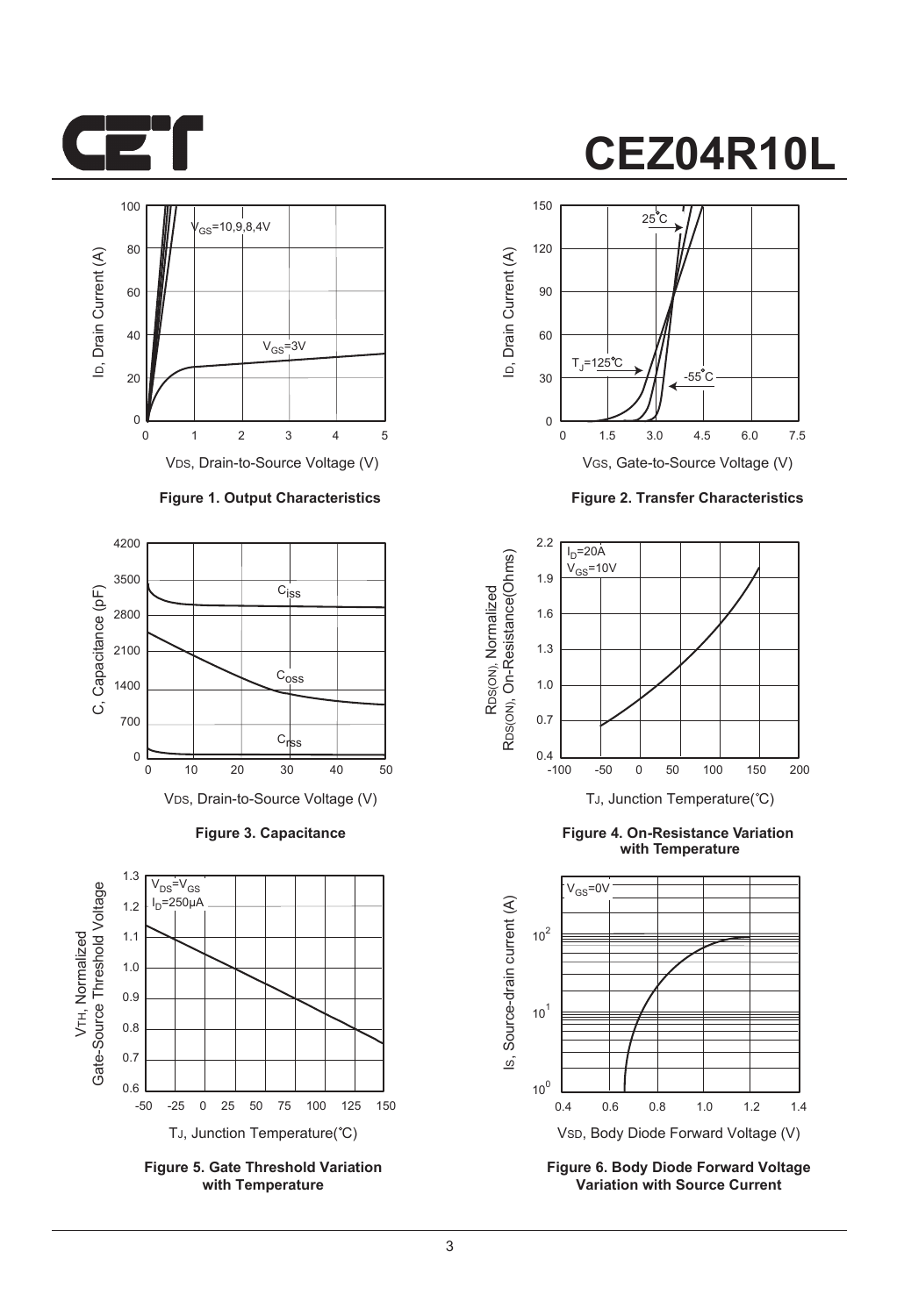



VDS, Drain-to-Source Voltage (V)

#### **Figure 1. Output Characteristics**



**Figure 3. Capacitance**



**Figure 5. Gate Threshold Variation with Temperature**

## **CEZ04R10L**



**Figure 2. Transfer Characteristics**



**Figure 4. On-Resistance Variation with Temperature**



**Figure 6. Body Diode Forward Voltage Variation with Source Current**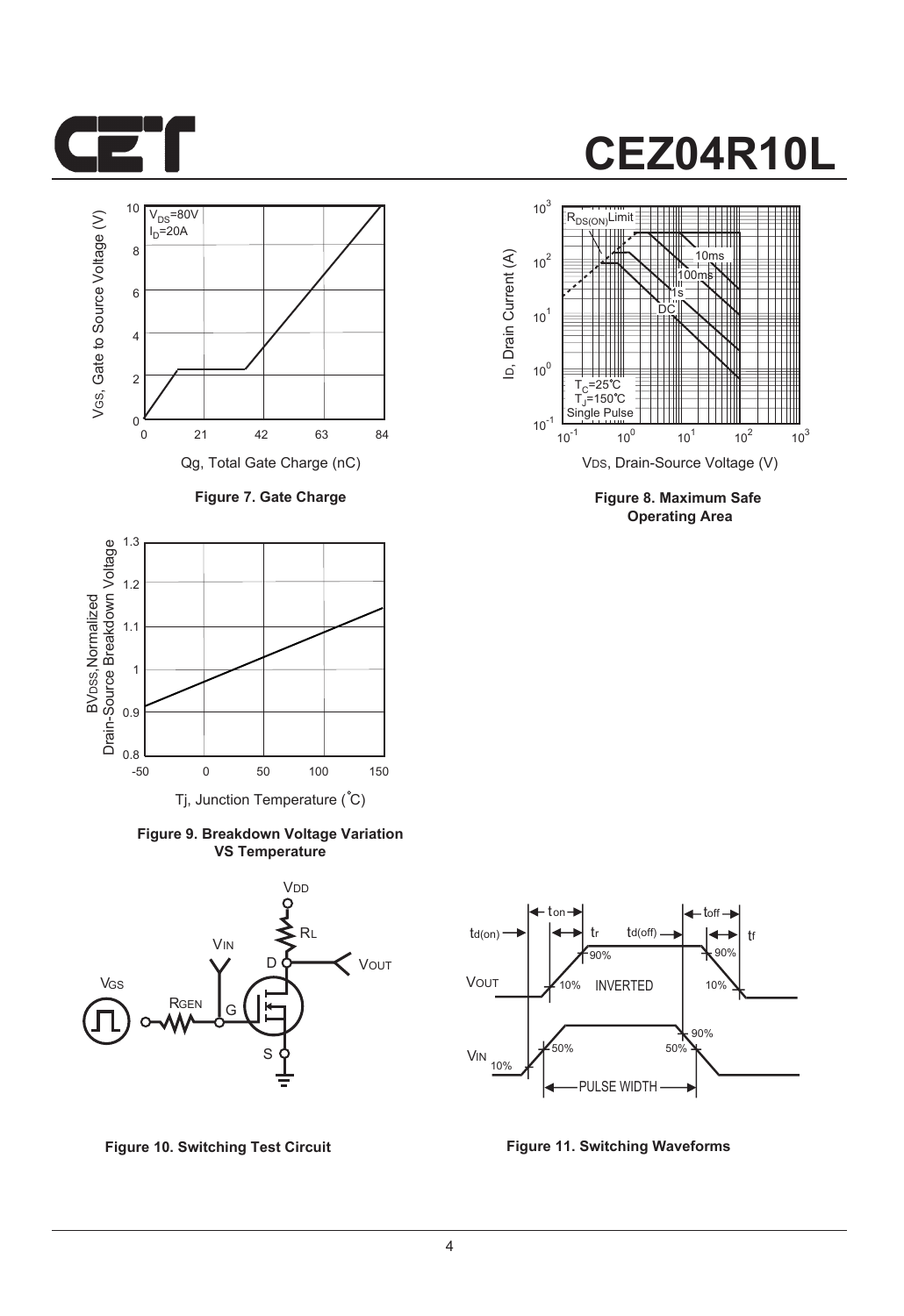



**Figure 7. Gate Charge**



**Figure 9. Breakdown Voltage Variation VS Temperature**





**Figure 8. Maximum Safe Operating Area**



**Figure 10. Switching Test Circuit Figure 11. Switching Waveforms**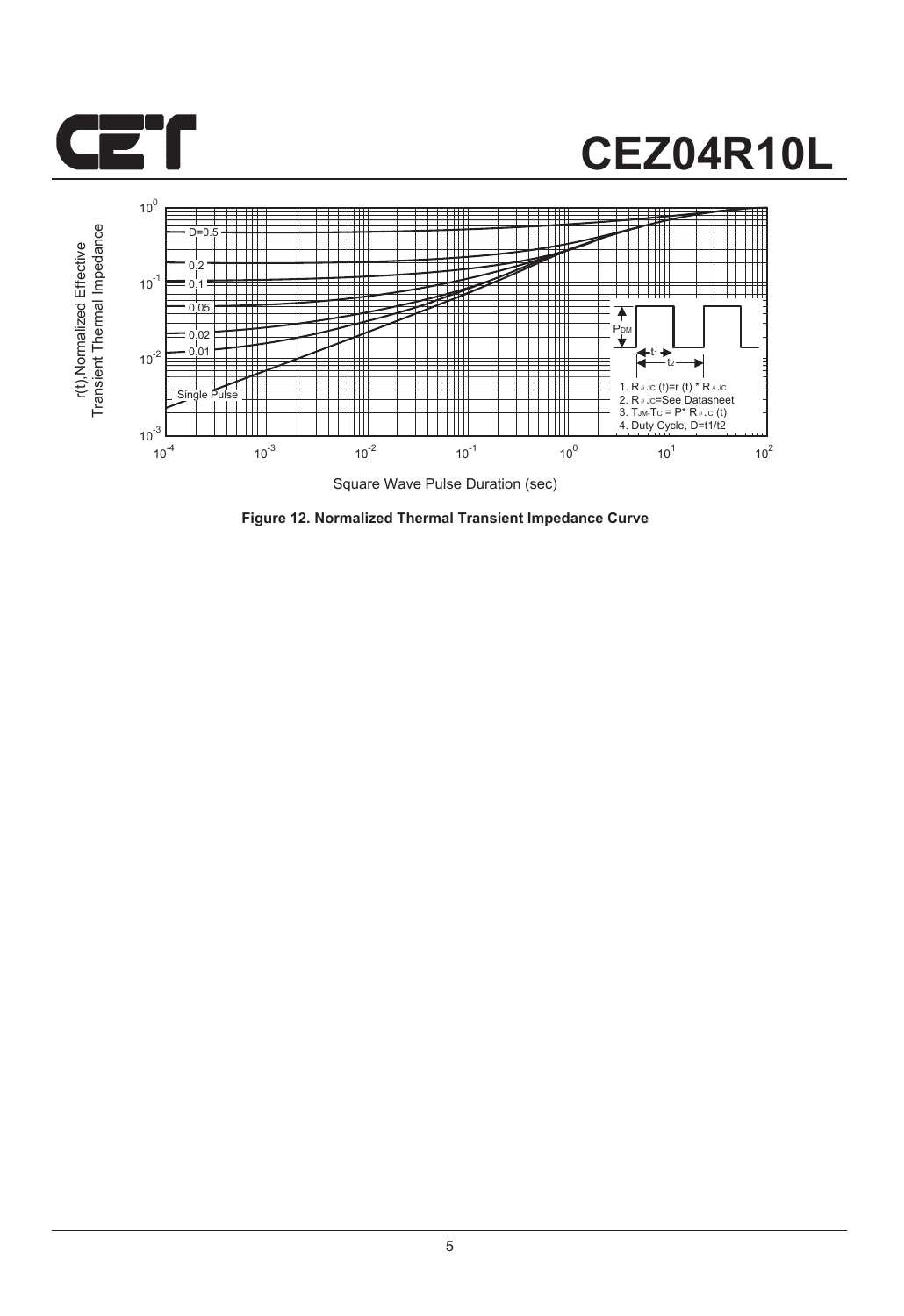



**Figure 12. Normalized Thermal Transient Impedance Curve**